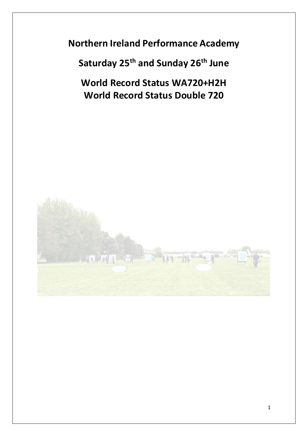**Northern Ireland Performance Academy** 

**Saturday 25th and Sunday 26th June**

**World Record Status WA720+H2H World Record Status Double 720**

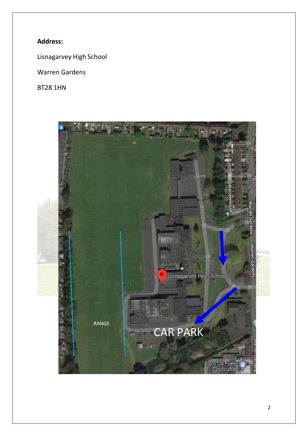# **Address:**

Lisnagarvey High School

Warren Gardens

BT28 1HN

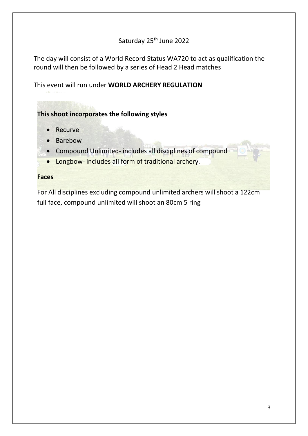# Saturday 25<sup>th</sup> June 2022

The day will consist of a World Record Status WA720 to act as qualification the round will then be followed by a series of Head 2 Head matches

This event will run under **WORLD ARCHERY REGULATION**

### **This shoot incorporates the following styles**

- Recurve
- Barebow
- Compound Unlimited- includes all disciplines of compound
- Longbow- includes all form of traditional archery.

#### **Faces**

For All disciplines excluding compound unlimited archers will shoot a 122cm full face, compound unlimited will shoot an 80cm 5 ring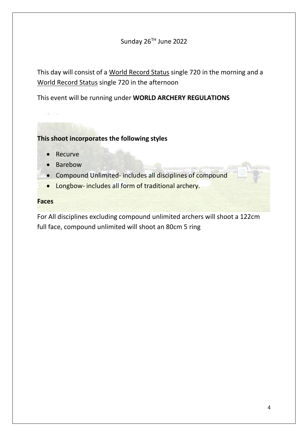### Sunday 26<sup>TH</sup> June 2022

This day will consist of a World Record Status single 720 in the morning and a World Record Status single 720 in the afternoon

This event will be running under **WORLD ARCHERY REGULATIONS**

### **This shoot incorporates the following styles**

- **Recurve**
- Barebow
- Compound Unlimited- includes all disciplines of compound
- Longbow- includes all form of traditional archery.

#### **Faces**

For All disciplines excluding compound unlimited archers will shoot a 122cm full face, compound unlimited will shoot an 80cm 5 ring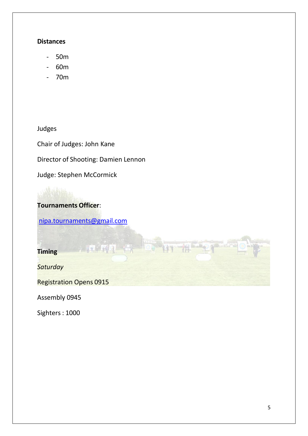#### **Distances**

- 50m
- 60m
- 70m

Judges

Chair of Judges: John Kane

Director of Shooting: Damien Lennon

Judge: Stephen McCormick

# **Tournaments Officer**:

[nipa.tournaments@gmail.com](mailto:nipa.tournaments@gmail.com)

 $+ 19$ 

**Timing**

*Saturday* 

Registration Opens 0915

Assembly 0945

Sighters : 1000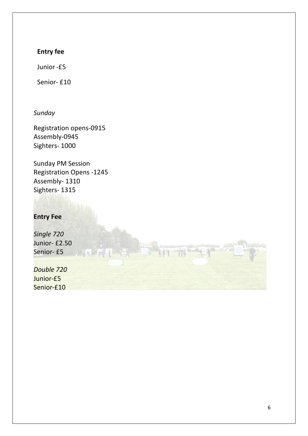# **Entry fee**

Junior-£5

Senior- £10

*Sunday*

Registration opens-0915 Assembly-0945 Sighters- 1000

Sunday PM Session Registration Opens -1245 Assembly- 1310 Sighters- 1315

## **Entry Fee**

*Single 720* Junior- £2.50 Senior- £5 *Double 720* Junior-£5 Senior-£10